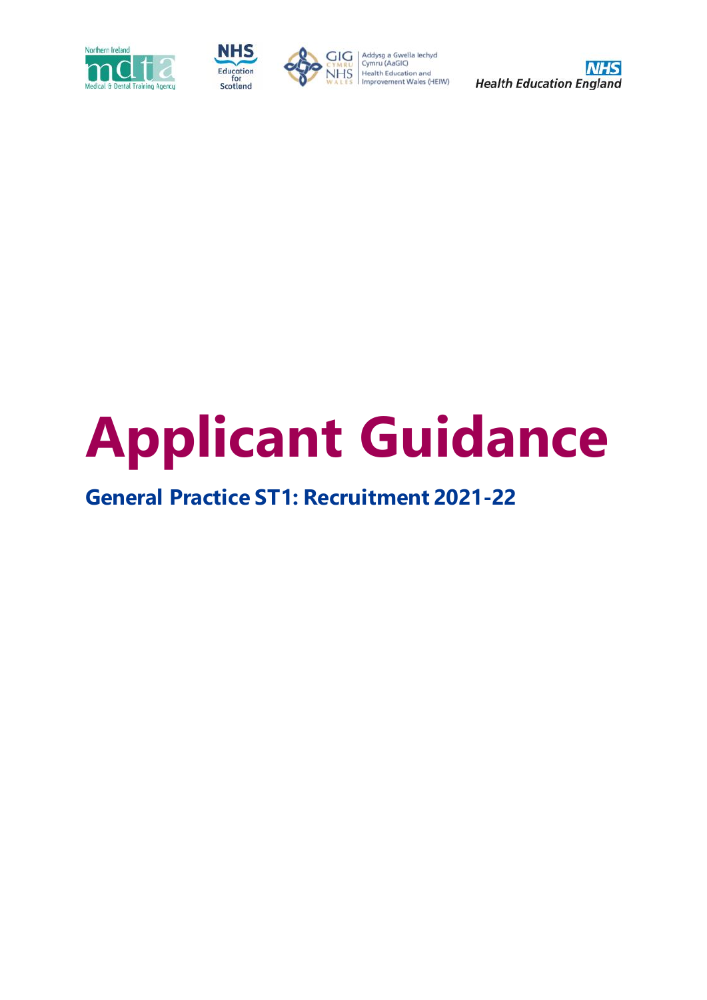





 $\begin{array}{l|l} \hline & \multicolumn{3}{l}{\text{G}} \end{array} \begin{array}{l} \hline & \multicolumn{3}{l}{\text{Addysg a Gwella lechyd}} \\ \hline \text{Cymru (AaGIC)} \\ \hline \text{NHS} \\ \text{WALEs} \end{array} \begin{array}{l} \hline & \multicolumn{3}{l}{\text{Gymru (AaGIC)}} \\ \hline \text{Health Education and} \\ \hline \text{Improvement Wales (HEIW)} \end{array}$ 



# **Applicant Guidance**

# **General Practice ST1: Recruitment 2021-22**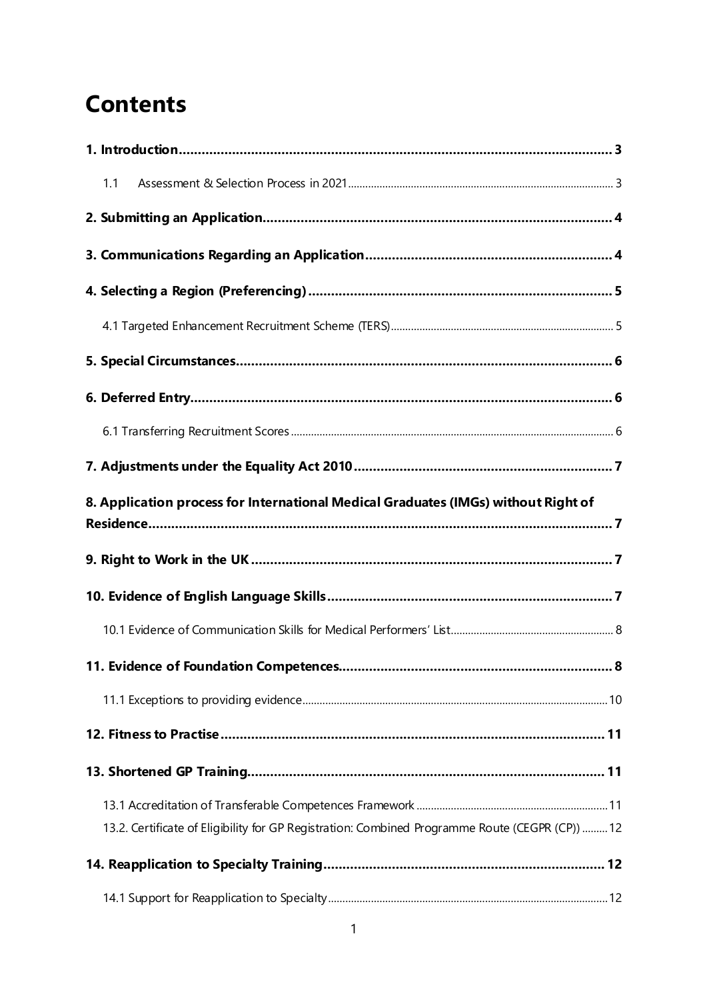# **Contents**

| 1.1                                                                                             |     |
|-------------------------------------------------------------------------------------------------|-----|
|                                                                                                 |     |
|                                                                                                 |     |
|                                                                                                 |     |
|                                                                                                 |     |
|                                                                                                 |     |
|                                                                                                 |     |
|                                                                                                 |     |
|                                                                                                 |     |
| 8. Application process for International Medical Graduates (IMGs) without Right of              |     |
|                                                                                                 |     |
|                                                                                                 |     |
|                                                                                                 |     |
|                                                                                                 |     |
|                                                                                                 | . 8 |
|                                                                                                 |     |
|                                                                                                 |     |
|                                                                                                 |     |
|                                                                                                 |     |
| 13.2. Certificate of Eligibility for GP Registration: Combined Programme Route (CEGPR (CP))  12 |     |
|                                                                                                 |     |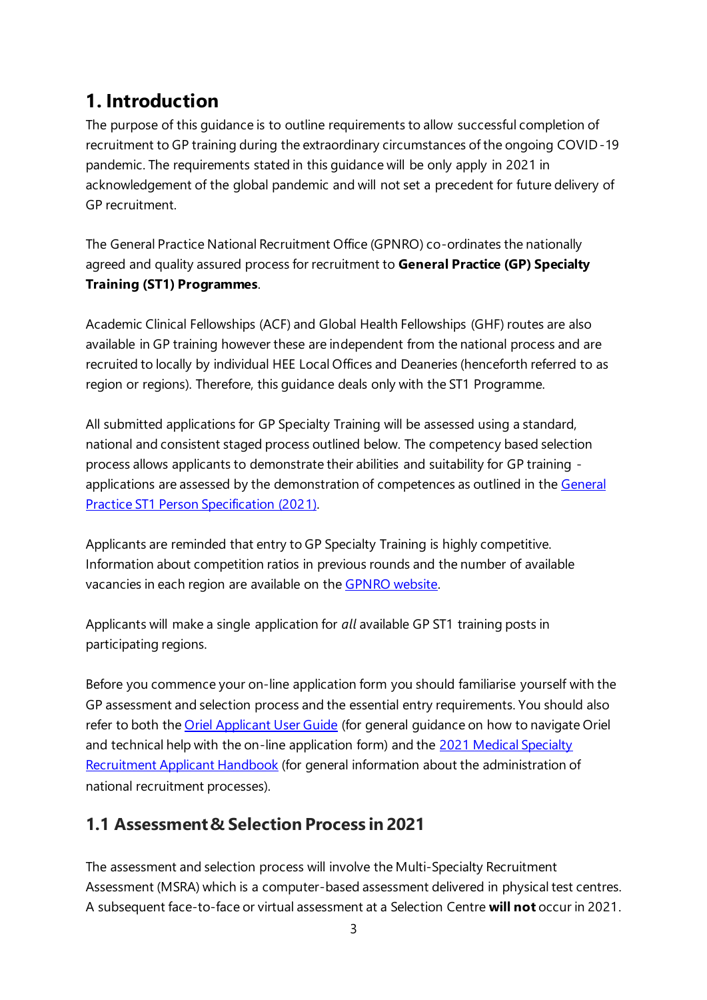## <span id="page-3-0"></span>**1. Introduction**

The purpose of this guidance is to outline requirements to allow successful completion of recruitment to GP training during the extraordinary circumstances of the ongoing COVID-19 pandemic. The requirements stated in this guidance will be only apply in 2021 in acknowledgement of the global pandemic and will not set a precedent for future delivery of GP recruitment.

The General Practice National Recruitment Office (GPNRO) co-ordinates the nationally agreed and quality assured process for recruitment to **General Practice (GP) Specialty Training (ST1) Programmes**.

Academic Clinical Fellowships (ACF) and Global Health Fellowships (GHF) routes are also available in GP training however these are independent from the national process and are recruited to locally by individual HEE Local Offices and Deaneries (henceforth referred to as region or regions). Therefore, this guidance deals only with the ST1 Programme.

All submitted applications for GP Specialty Training will be assessed using a standard, national and consistent staged process outlined below. The competency based selection process allows applicants to demonstrate their abilities and suitability for GP training applications are assessed by the demonstration of competences as outlined in the General [Practice ST1 Person Specification \(2021\).](https://specialtytraining.hee.nhs.uk/Recruitment/Person-specifications)

Applicants are reminded that entry to GP Specialty Training is highly competitive. Information about competition ratios in previous rounds and the number of available vacancies in each region are available on the [GPNRO website.](https://gprecruitment.hee.nhs.uk/)

Applicants will make a single application for *all* available GP ST1 training posts in participating regions.

Before you commence your on-line application form you should familiarise yourself with the GP assessment and selection process and the essential entry requirements. You should also refer to both th[e Oriel Applicant User Guide](https://new.oriel.nhs.uk/Web/PermaLink/ResourceBank/B0FE40DC) (for general guidance on how to navigate Oriel and technical help with the on-line application form) and the 2021 Medical Specialty [Recruitment Applicant Handbook](https://specialtytraining.hee.nhs.uk/portals/1/Content/Resource%20Bank/Recruitment%20Documents/Medical%20Specialty%20Recruitment%20Applicant%20Handbook%202021%20v1.0%20(1).pdf) (for general information about the administration of national recruitment processes).

#### <span id="page-3-1"></span>**1.1 Assessment & Selection Process in 2021**

The assessment and selection process will involve the Multi-Specialty Recruitment Assessment (MSRA) which is a computer-based assessment delivered in physical test centres. A subsequent face-to-face or virtual assessment at a Selection Centre **will not** occur in 2021.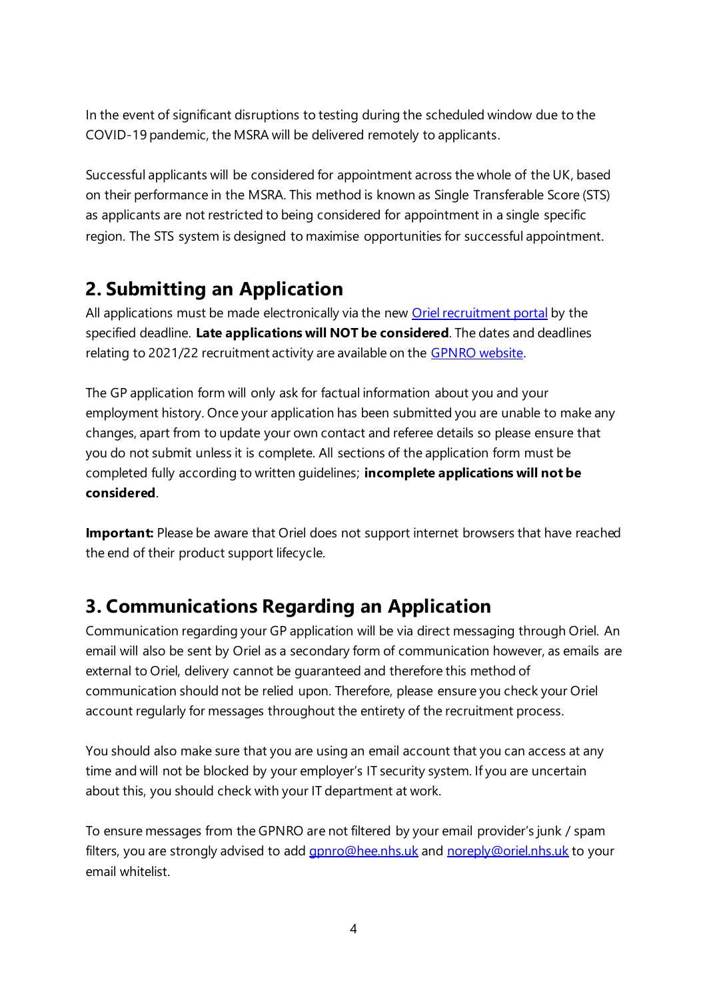In the event of significant disruptions to testing during the scheduled window due to the COVID-19 pandemic, the MSRA will be delivered remotely to applicants.

Successful applicants will be considered for appointment across the whole of the UK, based on their performance in the MSRA. This method is known as Single Transferable Score (STS) as applicants are not restricted to being considered for appointment in a single specific region. The STS system is designed to maximise opportunities for successful appointment.

## <span id="page-4-0"></span>**2. Submitting an Application**

All applications must be made electronically via the new **[Oriel recruitment portal](https://new.oriel.nhs.uk/web/)** by the specified deadline. **Late applications will NOT be considered**. The dates and deadlines relating to 2021/22 recruitment activity are available on the [GPNRO website.](https://gprecruitment.hee.nhs.uk/Recruitment)

The GP application form will only ask for factual information about you and your employment history. Once your application has been submitted you are unable to make any changes, apart from to update your own contact and referee details so please ensure that you do not submit unless it is complete. All sections of the application form must be completed fully according to written guidelines; **incomplete applications will not be considered**.

**Important:** Please be aware that Oriel does not support internet browsers that have reached the end of their product support lifecycle.

## <span id="page-4-1"></span>**3. Communications Regarding an Application**

Communication regarding your GP application will be via direct messaging through Oriel. An email will also be sent by Oriel as a secondary form of communication however, as emails are external to Oriel, delivery cannot be guaranteed and therefore this method of communication should not be relied upon. Therefore, please ensure you check your Oriel account regularly for messages throughout the entirety of the recruitment process.

You should also make sure that you are using an email account that you can access at any time and will not be blocked by your employer's IT security system. If you are uncertain about this, you should check with your IT department at work.

To ensure messages from the GPNRO are not filtered by your email provider's junk / spam filters, you are strongly advised to add *gpnro@hee.nhs.uk* and [noreply@oriel.nhs.uk](mailto:noreply@oriel.nhs.uk) to your email whitelist.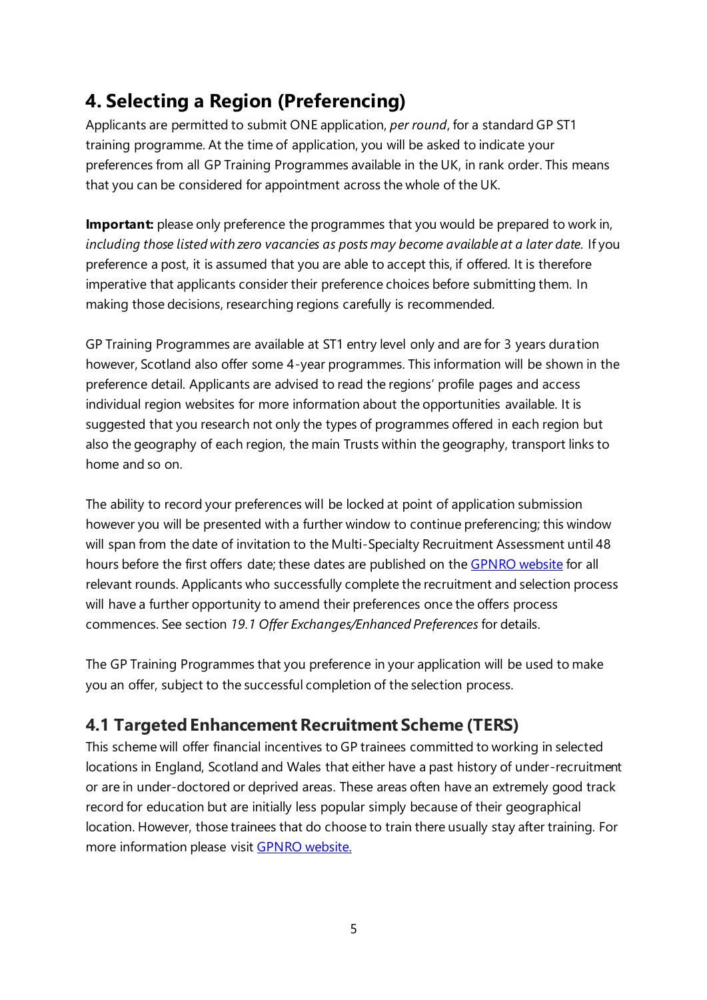## <span id="page-5-0"></span>**4. Selecting a Region (Preferencing)**

Applicants are permitted to submit ONE application, *per round*, for a standard GP ST1 training programme. At the time of application, you will be asked to indicate your preferences from all GP Training Programmes available in the UK, in rank order. This means that you can be considered for appointment across the whole of the UK.

**Important:** please only preference the programmes that you would be prepared to work in, *including those listed with zero vacancies as posts may become available at a later date.* If you preference a post, it is assumed that you are able to accept this, if offered. It is therefore imperative that applicants consider their preference choices before submitting them. In making those decisions, researching regions carefully is recommended.

GP Training Programmes are available at ST1 entry level only and are for 3 years duration however, Scotland also offer some 4-year programmes. This information will be shown in the preference detail. Applicants are advised to read the regions' profile pages and access individual region websites for more information about the opportunities available. It is suggested that you research not only the types of programmes offered in each region but also the geography of each region, the main Trusts within the geography, transport links to home and so on.

The ability to record your preferences will be locked at point of application submission however you will be presented with a further window to continue preferencing; this window will span from the date of invitation to the Multi-Specialty Recruitment Assessment until 48 hours before the first offers date; these dates are published on the [GPNRO website](https://gprecruitment.hee.nhs.uk/Recruitment) for all relevant rounds. Applicants who successfully complete the recruitment and selection process will have a further opportunity to amend their preferences once the offers process commences. See section *19.1 Offer Exchanges/Enhanced Preferences* for details.

The GP Training Programmes that you preference in your application will be used to make you an offer, subject to the successful completion of the selection process.

#### <span id="page-5-1"></span>**4.1 Targeted Enhancement Recruitment Scheme (TERS)**

This scheme will offer financial incentives to GP trainees committed to working in selected locations in England, Scotland and Wales that either have a past history of under-recruitment or are in under-doctored or deprived areas. These areas often have an extremely good track record for education but are initially less popular simply because of their geographical location. However, those trainees that do choose to train there usually stay after training. For more information please visit [GPNRO website.](https://gprecruitment.hee.nhs.uk/Recruitment/TERS)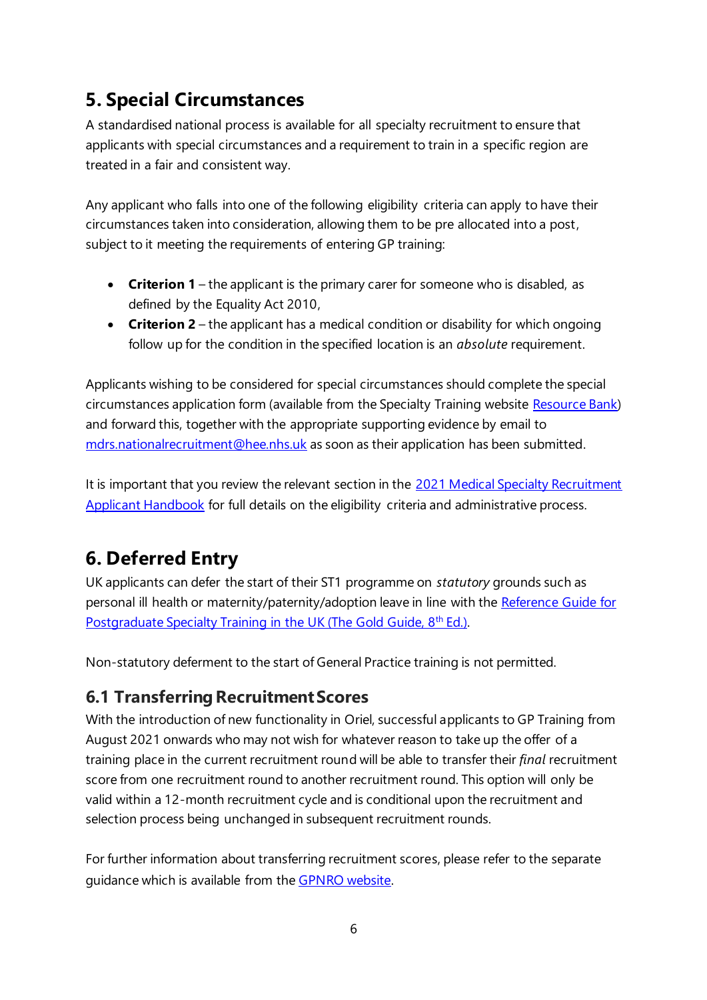## <span id="page-6-0"></span>**5. Special Circumstances**

A standardised national process is available for all specialty recruitment to ensure that applicants with special circumstances and a requirement to train in a specific region are treated in a fair and consistent way.

Any applicant who falls into one of the following eligibility criteria can apply to have their circumstances taken into consideration, allowing them to be pre allocated into a post, subject to it meeting the requirements of entering GP training:

- **Criterion 1** the applicant is the primary carer for someone who is disabled, as defined by the Equality Act 2010,
- **Criterion 2** the applicant has a medical condition or disability for which ongoing follow up for the condition in the specified location is an *absolute* requirement.

Applicants wishing to be considered for special circumstances should complete the special circumstances application form (available from the Specialty Training website [Resource Bank\)](https://specialtytraining.hee.nhs.uk/Resources-Bank) and forward this, together with the appropriate supporting evidence by email to [mdrs.nationalrecruitment@hee.nhs.uk](mailto:mdrs.nationalrecruitment@hee.nhs.uk) as soon as their application has been submitted.

It is important that you review the relevant section in the 2021 Medical Specialty Recruitment [Applicant Handbook](https://specialtytraining.hee.nhs.uk/portals/1/Content/Resource%20Bank/Recruitment%20Documents/Medical%20Specialty%20Recruitment%20Applicant%20Handbook%202021%20v1.0%20(1).pdf) for full details on the eligibility criteria and administrative process.

## <span id="page-6-1"></span>**6. Deferred Entry**

UK applicants can defer the start of their ST1 programme on *statutory* grounds such as personal ill health or maternity/paternity/adoption leave in line with the Reference Guide for [Postgraduate Specialty Training in the UK \(The Gold Guide, 8](https://www.copmed.org.uk/gold-guide-8th-edition/)<sup>th</sup> Ed.).

Non-statutory deferment to the start of General Practice training is not permitted.

#### <span id="page-6-2"></span>**6.1 Transferring Recruitment Scores**

With the introduction of new functionality in Oriel, successful applicants to GP Training from August 2021 onwards who may not wish for whatever reason to take up the offer of a training place in the current recruitment round will be able to transfer their *final* recruitment score from one recruitment round to another recruitment round. This option will only be valid within a 12-month recruitment cycle and is conditional upon the recruitment and selection process being unchanged in subsequent recruitment rounds.

For further information about transferring recruitment scores, please refer to the separate guidance which is available from the [GPNRO website.](https://gprecruitment.hee.nhs.uk/Resource-Bank/Recruitment-Documents-Forms)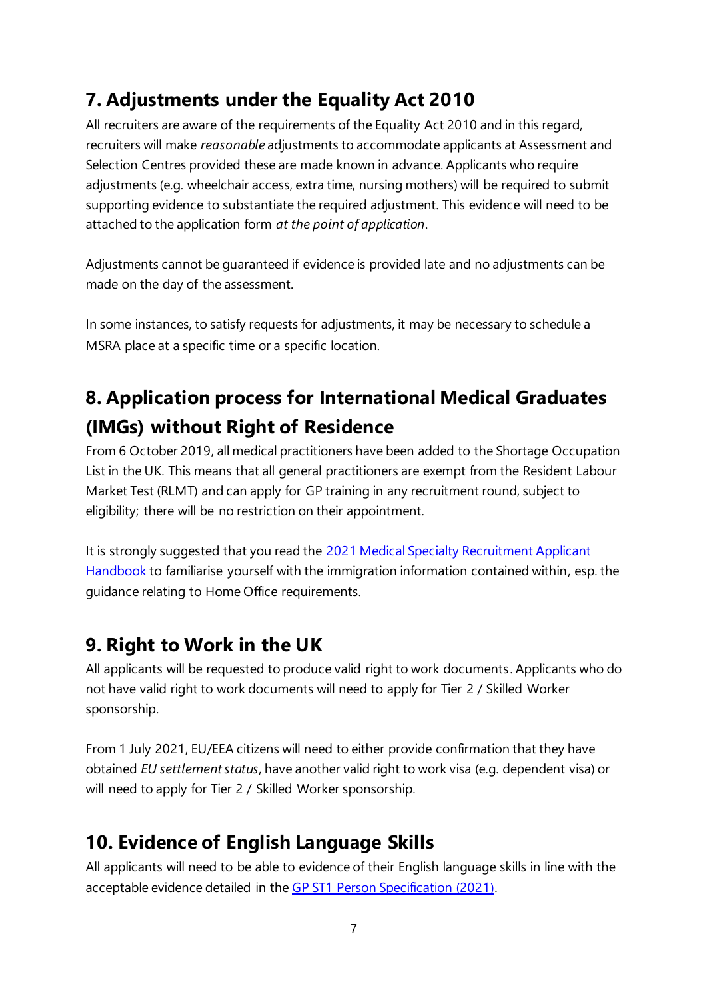## <span id="page-7-0"></span>**7. Adjustments under the Equality Act 2010**

All recruiters are aware of the requirements of the Equality Act 2010 and in this regard, recruiters will make *reasonable* adjustments to accommodate applicants at Assessment and Selection Centres provided these are made known in advance. Applicants who require adjustments (e.g. wheelchair access, extra time, nursing mothers) will be required to submit supporting evidence to substantiate the required adjustment. This evidence will need to be attached to the application form *at the point of application*.

Adjustments cannot be guaranteed if evidence is provided late and no adjustments can be made on the day of the assessment.

In some instances, to satisfy requests for adjustments, it may be necessary to schedule a MSRA place at a specific time or a specific location.

## <span id="page-7-1"></span>**8. Application process for International Medical Graduates (IMGs) without Right of Residence**

From 6 October 2019, all medical practitioners have been added to the Shortage Occupation List in the UK. This means that all general practitioners are exempt from the Resident Labour Market Test (RLMT) and can apply for GP training in any recruitment round, subject to eligibility; there will be no restriction on their appointment.

It is strongly suggested that you read the 2021 Medical Specialty Recruitment Applicant [Handbook](https://specialtytraining.hee.nhs.uk/portals/1/Content/Resource%20Bank/Recruitment%20Documents/Medical%20Specialty%20Recruitment%20Applicant%20Handbook%202021%20v1.0%20(1).pdf) to familiarise yourself with the immigration information contained within, esp. the guidance relating to Home Office requirements.

#### <span id="page-7-2"></span>**9. Right to Work in the UK**

All applicants will be requested to produce valid right to work documents. Applicants who do not have valid right to work documents will need to apply for Tier 2 / Skilled Worker sponsorship.

From 1 July 2021, EU/EEA citizens will need to either provide confirmation that they have obtained *EU settlement status*, have another valid right to work visa (e.g. dependent visa) or will need to apply for Tier 2 / Skilled Worker sponsorship.

#### <span id="page-7-3"></span>**10. Evidence of English Language Skills**

All applicants will need to be able to evidence of their English language skills in line with the acceptable evidence detailed in the [GP ST1 Person Specification \(2021\).](https://specialtytraining.hee.nhs.uk/Recruitment/Person-specifications)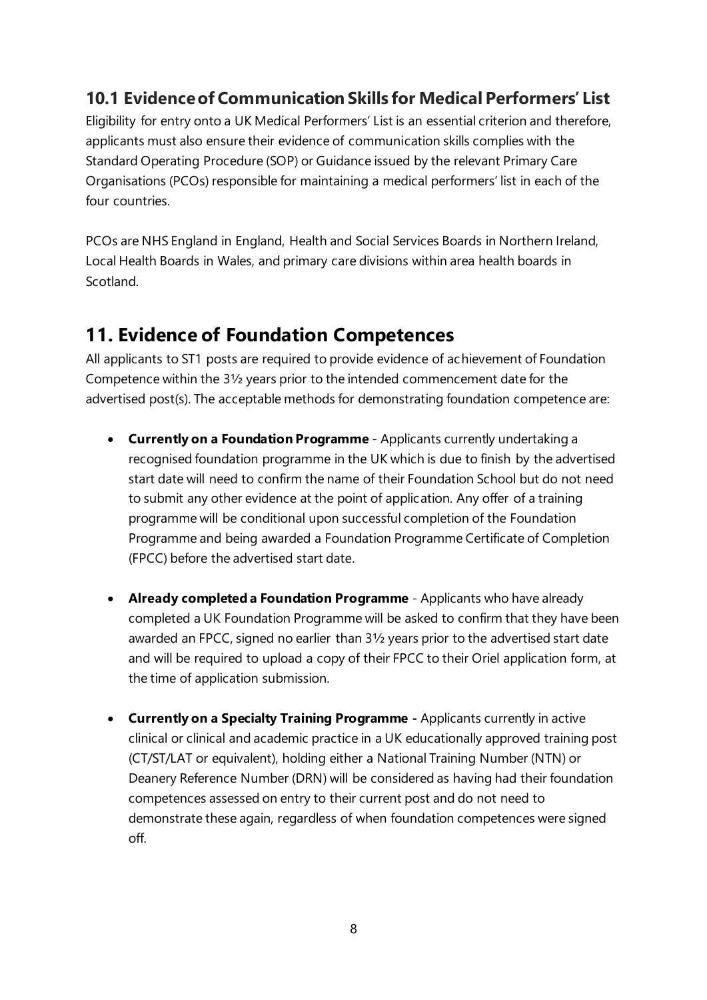#### <span id="page-8-0"></span>**10.1 Evidence of Communication Skills for Medical Performers' List**

Eligibility for entry onto a UK Medical Performers' List is an essential criterion and therefore, applicants must also ensure their evidence of communication skills complies with the Standard Operating Procedure (SOP) or Guidance issued by the relevant Primary Care Organisations (PCOs) responsible for maintaining a medical performers' list in each of the four countries.

PCOs are NHS England in England, Health and Social Services Boards in Northern Ireland, Local Health Boards in Wales, and primary care divisions within area health boards in Scotland.

#### <span id="page-8-1"></span>**11. Evidence of Foundation Competences**

All applicants to ST1 posts are required to provide evidence of achievement of Foundation Competence within the 3½ years prior to the intended commencement date for the advertised post(s). The acceptable methods for demonstrating foundation competence are:

- **Currently on a Foundation Programme** Applicants currently undertaking a recognised foundation programme in the UK which is due to finish by the advertised start date will need to confirm the name of their Foundation School but do not need to submit any other evidence at the point of application. Any offer of a training programme will be conditional upon successful completion of the Foundation Programme and being awarded a Foundation Programme Certificate of Completion (FPCC) before the advertised start date.
- **Already completed a Foundation Programme** Applicants who have already completed a UK Foundation Programme will be asked to confirm that they have been awarded an FPCC, signed no earlier than 3½ years prior to the advertised start date and will be required to upload a copy of their FPCC to their Oriel application form, at the time of application submission.
- **Currently on a Specialty Training Programme -** Applicants currently in active clinical or clinical and academic practice in a UK educationally approved training post (CT/ST/LAT or equivalent), holding either a National Training Number (NTN) or Deanery Reference Number (DRN) will be considered as having had their foundation competences assessed on entry to their current post and do not need to demonstrate these again, regardless of when foundation competences were signed off.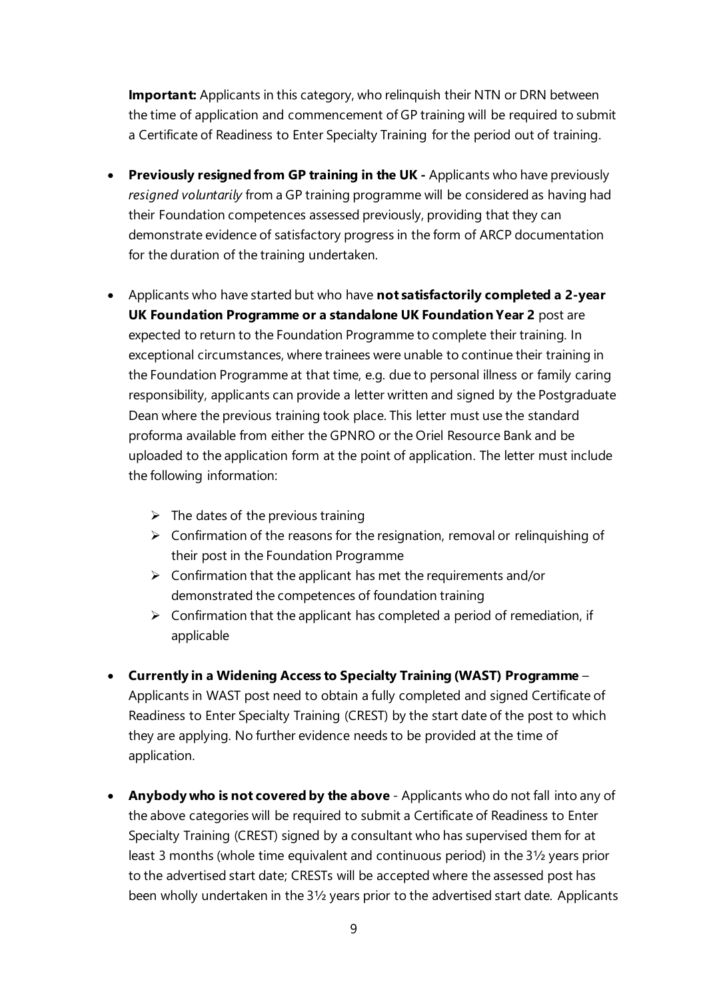**Important:** Applicants in this category, who relinquish their NTN or DRN between the time of application and commencement of GP training will be required to submit a Certificate of Readiness to Enter Specialty Training for the period out of training.

- **Previously resigned from GP training in the UK -** Applicants who have previously *resigned voluntarily* from a GP training programme will be considered as having had their Foundation competences assessed previously, providing that they can demonstrate evidence of satisfactory progress in the form of ARCP documentation for the duration of the training undertaken.
- Applicants who have started but who have **not satisfactorily completed a 2-year UK Foundation Programme or a standalone UK Foundation Year 2** post are expected to return to the Foundation Programme to complete their training. In exceptional circumstances, where trainees were unable to continue their training in the Foundation Programme at that time, e.g. due to personal illness or family caring responsibility, applicants can provide a letter written and signed by the Postgraduate Dean where the previous training took place. This letter must use the standard proforma available from either the GPNRO or the Oriel Resource Bank and be uploaded to the application form at the point of application. The letter must include the following information:
	- $\triangleright$  The dates of the previous training
	- $\triangleright$  Confirmation of the reasons for the resignation, removal or relinguishing of their post in the Foundation Programme
	- $\triangleright$  Confirmation that the applicant has met the requirements and/or demonstrated the competences of foundation training
	- $\triangleright$  Confirmation that the applicant has completed a period of remediation, if applicable
- **Currently in a Widening Access to Specialty Training (WAST) Programme** Applicants in WAST post need to obtain a fully completed and signed Certificate of Readiness to Enter Specialty Training (CREST) by the start date of the post to which they are applying. No further evidence needs to be provided at the time of application.
- **Anybody who is not covered by the above** Applicants who do not fall into any of the above categories will be required to submit a Certificate of Readiness to Enter Specialty Training (CREST) signed by a consultant who has supervised them for at least 3 months (whole time equivalent and continuous period) in the 3½ years prior to the advertised start date; CRESTs will be accepted where the assessed post has been wholly undertaken in the 3½ years prior to the advertised start date. Applicants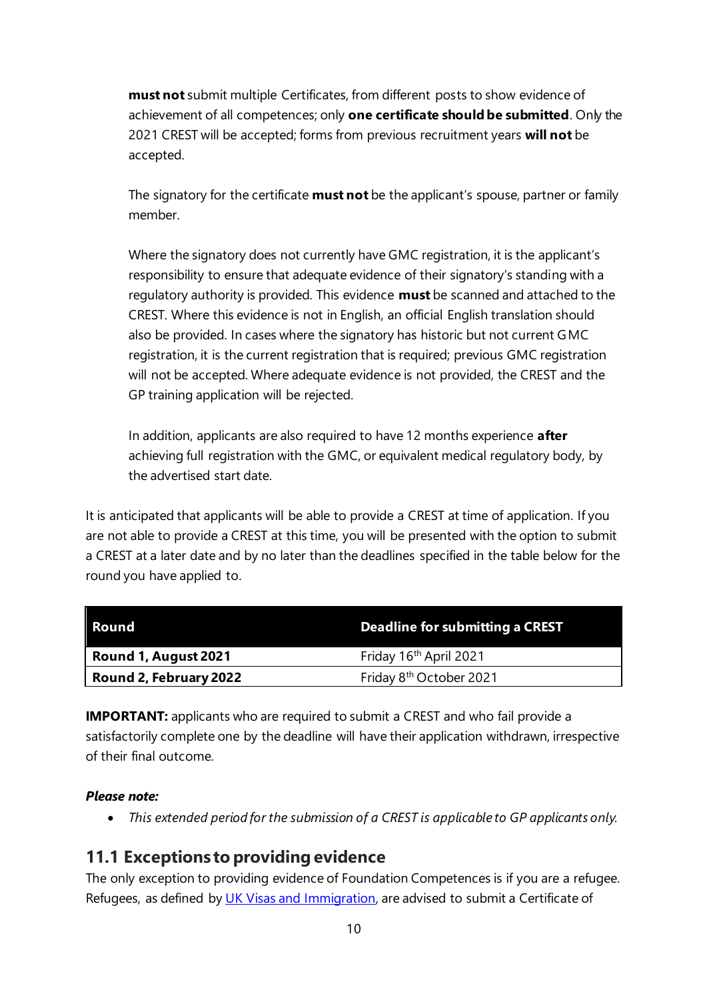**must not** submit multiple Certificates, from different posts to show evidence of achievement of all competences; only **one certificate should be submitted**. Only the 2021 CREST will be accepted; forms from previous recruitment years **will not** be accepted.

The signatory for the certificate **must not** be the applicant's spouse, partner or family member.

Where the signatory does not currently have GMC registration, it is the applicant's responsibility to ensure that adequate evidence of their signatory's standing with a regulatory authority is provided. This evidence **must** be scanned and attached to the CREST. Where this evidence is not in English, an official English translation should also be provided. In cases where the signatory has historic but not current GMC registration, it is the current registration that is required; previous GMC registration will not be accepted. Where adequate evidence is not provided, the CREST and the GP training application will be rejected.

In addition, applicants are also required to have 12 months experience **after** achieving full registration with the GMC, or equivalent medical regulatory body, by the advertised start date.

It is anticipated that applicants will be able to provide a CREST at time of application. If you are not able to provide a CREST at this time, you will be presented with the option to submit a CREST at a later date and by no later than the deadlines specified in the table below for the round you have applied to.

| <b>Round</b>                  | Deadline for submitting a CREST     |
|-------------------------------|-------------------------------------|
| Round 1, August 2021          | Friday 16 <sup>th</sup> April 2021  |
| <b>Round 2, February 2022</b> | Friday 8 <sup>th</sup> October 2021 |

**IMPORTANT:** applicants who are required to submit a CREST and who fail provide a satisfactorily complete one by the deadline will have their application withdrawn, irrespective of their final outcome.

#### *Please note:*

• *This extended period for the submission of a CREST is applicable to GP applicants only.*

#### <span id="page-10-0"></span>**11.1 Exceptions to providing evidence**

The only exception to providing evidence of Foundation Competences is if you are a refugee. Refugees, as defined by [UK Visas and Immigration,](https://www.gov.uk/government/organisations/uk-visas-and-immigration) are advised to submit a Certificate of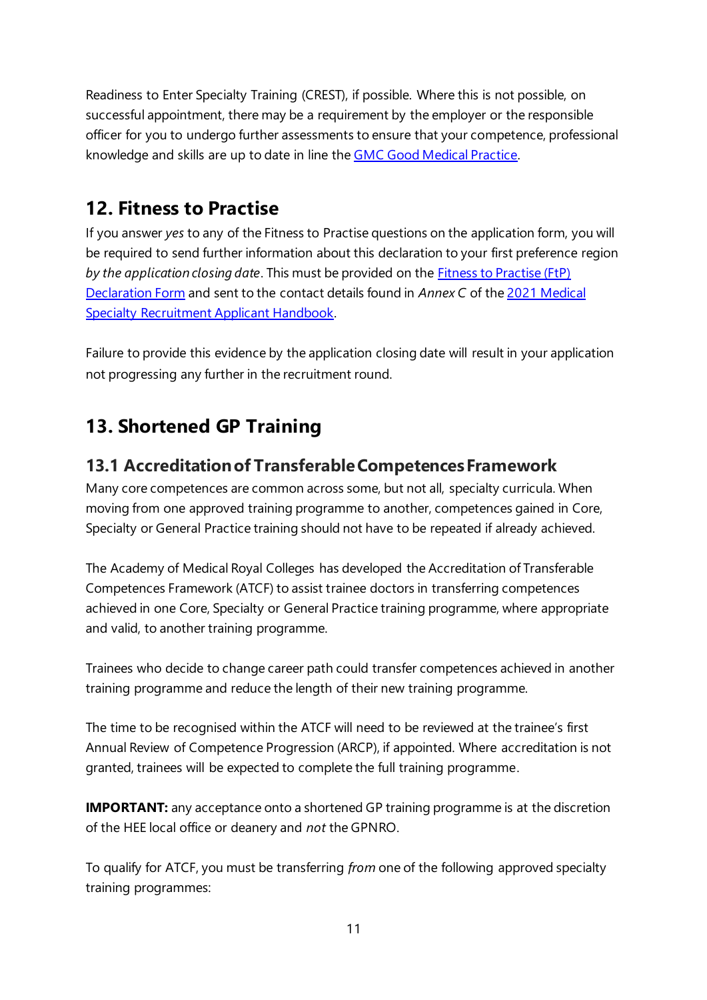Readiness to Enter Specialty Training (CREST), if possible. Where this is not possible, on successful appointment, there may be a requirement by the employer or the responsible officer for you to undergo further assessments to ensure that your competence, professional knowledge and skills are up to date in line the [GMC Good Medical Practice.](https://www.gmc-uk.org/ethical-guidance/ethical-guidance-for-doctors/good-medical-practice)

#### <span id="page-11-0"></span>**12. Fitness to Practise**

If you answer *yes* to any of the Fitness to Practise questions on the application form, you will be required to send further information about this declaration to your first preference region *by the application closing date*. This must be provided on the [Fitness to Practise \(FtP\)](https://new.oriel.nhs.uk/Web/PermaLink/ResourceBank/0A3B57E3)  [Declaration Form](https://new.oriel.nhs.uk/Web/PermaLink/ResourceBank/0A3B57E3) and sent to the contact details found in *Annex C* of th[e 2021 Medical](https://specialtytraining.hee.nhs.uk/portals/1/Content/Resource%20Bank/Recruitment%20Documents/Medical%20Specialty%20Recruitment%20Applicant%20Handbook%202021%20v1.0%20(1).pdf)  [Specialty Recruitment Applicant Handbook.](https://specialtytraining.hee.nhs.uk/portals/1/Content/Resource%20Bank/Recruitment%20Documents/Medical%20Specialty%20Recruitment%20Applicant%20Handbook%202021%20v1.0%20(1).pdf)

Failure to provide this evidence by the application closing date will result in your application not progressing any further in the recruitment round.

#### <span id="page-11-1"></span>**13. Shortened GP Training**

#### <span id="page-11-2"></span>**13.1 Accreditation of Transferable Competences Framework**

Many core competences are common across some, but not all, specialty curricula. When moving from one approved training programme to another, competences gained in Core, Specialty or General Practice training should not have to be repeated if already achieved.

The Academy of Medical Royal Colleges has developed the Accreditation of Transferable Competences Framework (ATCF) to assist trainee doctors in transferring competences achieved in one Core, Specialty or General Practice training programme, where appropriate and valid, to another training programme.

Trainees who decide to change career path could transfer competences achieved in another training programme and reduce the length of their new training programme.

The time to be recognised within the ATCF will need to be reviewed at the trainee's first Annual Review of Competence Progression (ARCP), if appointed. Where accreditation is not granted, trainees will be expected to complete the full training programme.

**IMPORTANT:** any acceptance onto a shortened GP training programme is at the discretion of the HEE local office or deanery and *not* the GPNRO.

To qualify for ATCF, you must be transferring *from* one of the following approved specialty training programmes: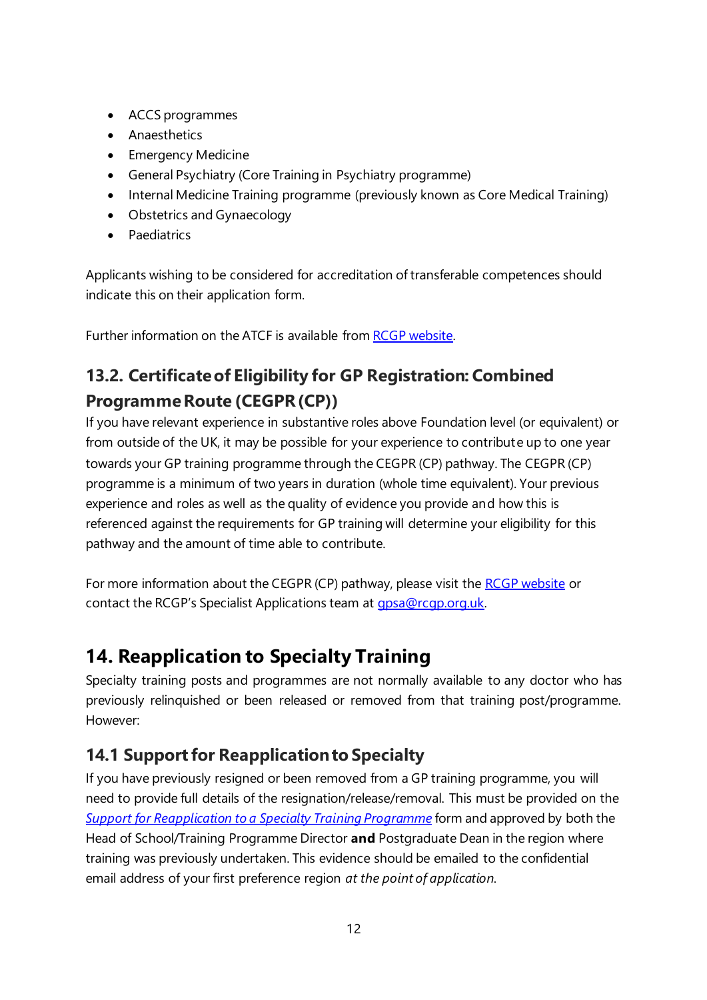- ACCS programmes
- Anaesthetics
- Emergency Medicine
- General Psychiatry (Core Training in Psychiatry programme)
- Internal Medicine Training programme (previously known as Core Medical Training)
- Obstetrics and Gynaecology
- Paediatrics

Applicants wishing to be considered for accreditation of transferable competences should indicate this on their application form.

Further information on the ATCF is available from RCGP [website.](https://www.rcgp.org.uk/training-exams/discover-general-practice/qualifying-as-a-gp-in-the-nhs/atcf.aspx)

#### <span id="page-12-0"></span>**13.2. Certificate of Eligibility for GP Registration: Combined Programme Route (CEGPR (CP))**

If you have relevant experience in substantive roles above Foundation level (or equivalent) or from outside of the UK, it may be possible for your experience to contribute up to one year towards your GP training programme through the CEGPR (CP) pathway. The CEGPR (CP) programme is a minimum of two years in duration (whole time equivalent). Your previous experience and roles as well as the quality of evidence you provide and how this is referenced against the requirements for GP training will determine your eligibility for this pathway and the amount of time able to contribute.

For more information about the CEGPR (CP) pathway, please visit the [RCGP website](mailto:RCGP%20website) or contact the RCGP's Specialist Applications team at [gpsa@rcgp.org.uk.](mailto:gpsa@rcgp.org.uk)

#### <span id="page-12-1"></span>**14. Reapplication to Specialty Training**

Specialty training posts and programmes are not normally available to any doctor who has previously relinquished or been released or removed from that training post/programme. However:

#### <span id="page-12-2"></span>**14.1 Support for Reapplication to Specialty**

If you have previously resigned or been removed from a GP training programme, you will need to provide full details of the resignation/release/removal. This must be provided on the *[Support for Reapplication to a Specialty Training Programme](https://new.oriel.nhs.uk/Web/ResourceBank)* form and approved by both the Head of School/Training Programme Director **and** Postgraduate Dean in the region where training was previously undertaken. This evidence should be emailed to the confidential email address of your first preference region *at the point of application*.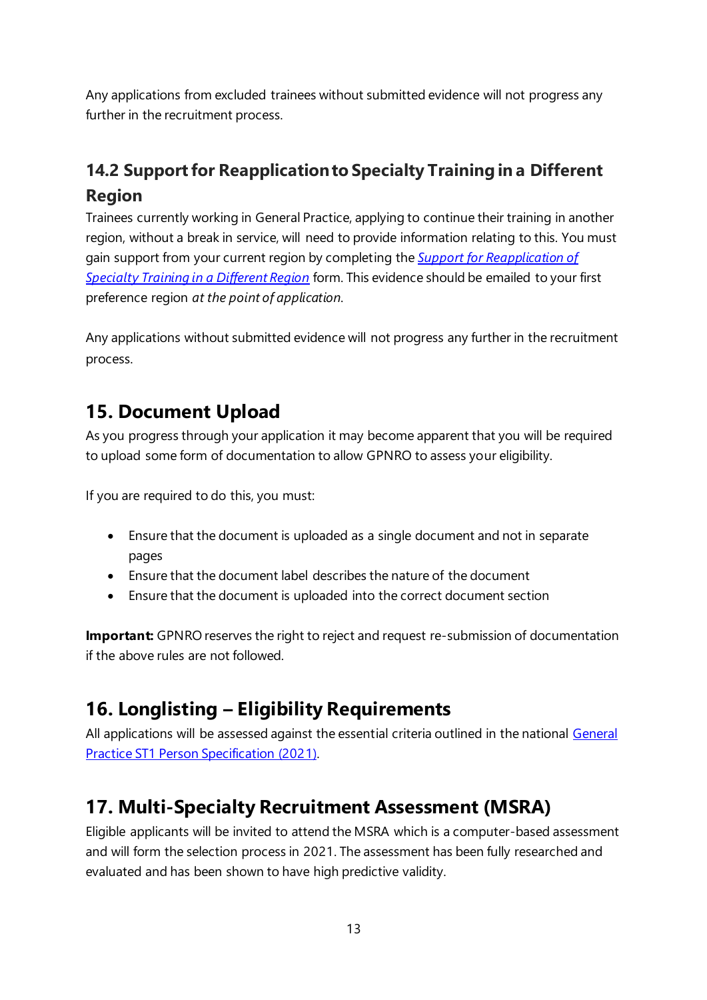Any applications from excluded trainees without submitted evidence will not progress any further in the recruitment process.

## <span id="page-13-0"></span>**14.2 Support for Reapplication to Specialty Training in a Different Region**

Trainees currently working in General Practice, applying to continue their training in another region, without a break in service, will need to provide information relating to this. You must gain support from your current region by completing the *[Support for Reapplication of](https://new.oriel.nhs.uk/Web/ResourceBank)  [Specialty Training in a Different Region](https://new.oriel.nhs.uk/Web/ResourceBank)* form. This evidence should be emailed to your first preference region *at the point of application*.

Any applications without submitted evidence will not progress any further in the recruitment process.

#### <span id="page-13-1"></span>**15. Document Upload**

As you progress through your application it may become apparent that you will be required to upload some form of documentation to allow GPNRO to assess your eligibility.

If you are required to do this, you must:

- Ensure that the document is uploaded as a single document and not in separate pages
- Ensure that the document label describes the nature of the document
- Ensure that the document is uploaded into the correct document section

**Important:** GPNRO reserves the right to reject and request re-submission of documentation if the above rules are not followed.

## <span id="page-13-2"></span>**16. Longlisting – Eligibility Requirements**

All applications will be assessed against the essential criteria outlined in the national General Practice [ST1 Person Specification \(2021\).](https://specialtytraining.hee.nhs.uk/Recruitment/Person-specifications)

## <span id="page-13-3"></span>**17. Multi-Specialty Recruitment Assessment (MSRA)**

Eligible applicants will be invited to attend the MSRA which is a computer-based assessment and will form the selection process in 2021. The assessment has been fully researched and evaluated and has been shown to have high predictive validity.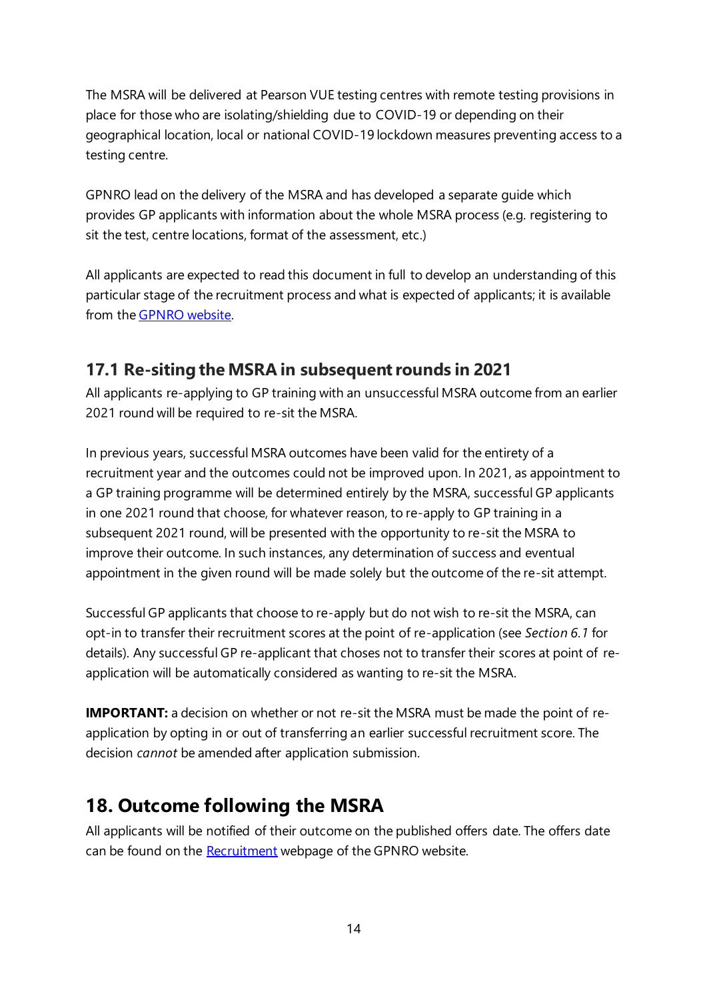The MSRA will be delivered at Pearson VUE testing centres with remote testing provisions in place for those who are isolating/shielding due to COVID-19 or depending on their geographical location, local or national COVID-19 lockdown measures preventing access to a testing centre.

GPNRO lead on the delivery of the MSRA and has developed a separate guide which provides GP applicants with information about the whole MSRA process (e.g. registering to sit the test, centre locations, format of the assessment, etc.)

All applicants are expected to read this document in full to develop an understanding of this particular stage of the recruitment process and what is expected of applicants; it is available from the [GPNRO website.](https://gprecruitment.hee.nhs.uk/Recruitment/Applicant-Guidance)

#### <span id="page-14-0"></span>**17.1 Re-siting the MSRA in subsequent rounds in 2021**

All applicants re-applying to GP training with an unsuccessful MSRA outcome from an earlier 2021 round will be required to re-sit the MSRA.

In previous years, successful MSRA outcomes have been valid for the entirety of a recruitment year and the outcomes could not be improved upon. In 2021, as appointment to a GP training programme will be determined entirely by the MSRA, successful GP applicants in one 2021 round that choose, for whatever reason, to re-apply to GP training in a subsequent 2021 round, will be presented with the opportunity to re-sit the MSRA to improve their outcome. In such instances, any determination of success and eventual appointment in the given round will be made solely but the outcome of the re-sit attempt.

Successful GP applicants that choose to re-apply but do not wish to re-sit the MSRA, can opt-in to transfer their recruitment scores at the point of re-application (see *Section 6.1* for details). Any successful GP re-applicant that choses not to transfer their scores at point of reapplication will be automatically considered as wanting to re-sit the MSRA.

**IMPORTANT:** a decision on whether or not re-sit the MSRA must be made the point of reapplication by opting in or out of transferring an earlier successful recruitment score. The decision *cannot* be amended after application submission.

#### <span id="page-14-1"></span>**18. Outcome following the MSRA**

All applicants will be notified of their outcome on the published offers date. The offers date can be found on the **Recruitment** webpage of the GPNRO website.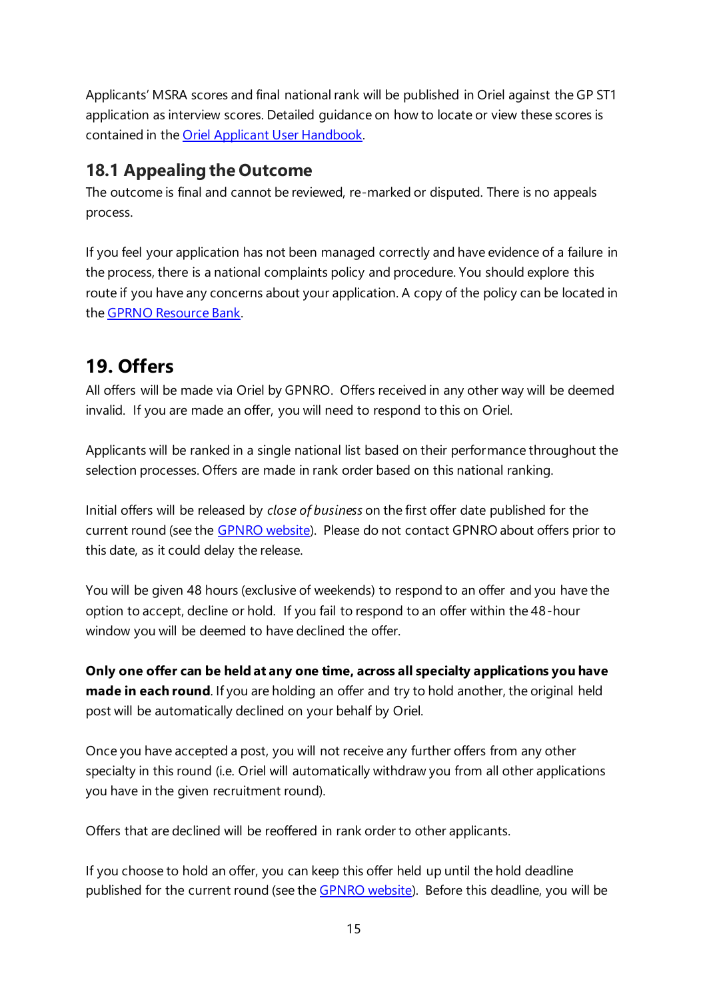Applicants' MSRA scores and final national rank will be published in Oriel against the GP ST1 application as interview scores. Detailed guidance on how to locate or view these scores is contained in the **Oriel Applicant User Handbook**.

#### <span id="page-15-0"></span>**18.1 Appealing the Outcome**

The outcome is final and cannot be reviewed, re-marked or disputed. There is no appeals process.

If you feel your application has not been managed correctly and have evidence of a failure in the process, there is a national complaints policy and procedure. You should explore this route if you have any concerns about your application. A copy of the policy can be located in th[e GPRNO Resource Bank.](https://gprecruitment.hee.nhs.uk/Resource-Bank)

#### <span id="page-15-1"></span>**19. Offers**

All offers will be made via Oriel by GPNRO. Offers received in any other way will be deemed invalid. If you are made an offer, you will need to respond to this on Oriel.

Applicants will be ranked in a single national list based on their performance throughout the selection processes. Offers are made in rank order based on this national ranking.

Initial offers will be released by *close of business* on the first offer date published for the current round (see the [GPNRO website\)](https://gprecruitment.hee.nhs.uk/Recruitment). Please do not contact GPNRO about offers prior to this date, as it could delay the release.

You will be given 48 hours (exclusive of weekends) to respond to an offer and you have the option to accept, decline or hold. If you fail to respond to an offer within the 48-hour window you will be deemed to have declined the offer.

**Only one offer can be held at any one time, across all specialty applications you have made in each round**. If you are holding an offer and try to hold another, the original held post will be automatically declined on your behalf by Oriel.

Once you have accepted a post, you will not receive any further offers from any other specialty in this round (i.e. Oriel will automatically withdraw you from all other applications you have in the given recruitment round).

Offers that are declined will be reoffered in rank order to other applicants.

If you choose to hold an offer, you can keep this offer held up until the hold deadline published for the current round (see the [GPNRO website\)](https://gprecruitment.hee.nhs.uk/Recruitment). Before this deadline, you will be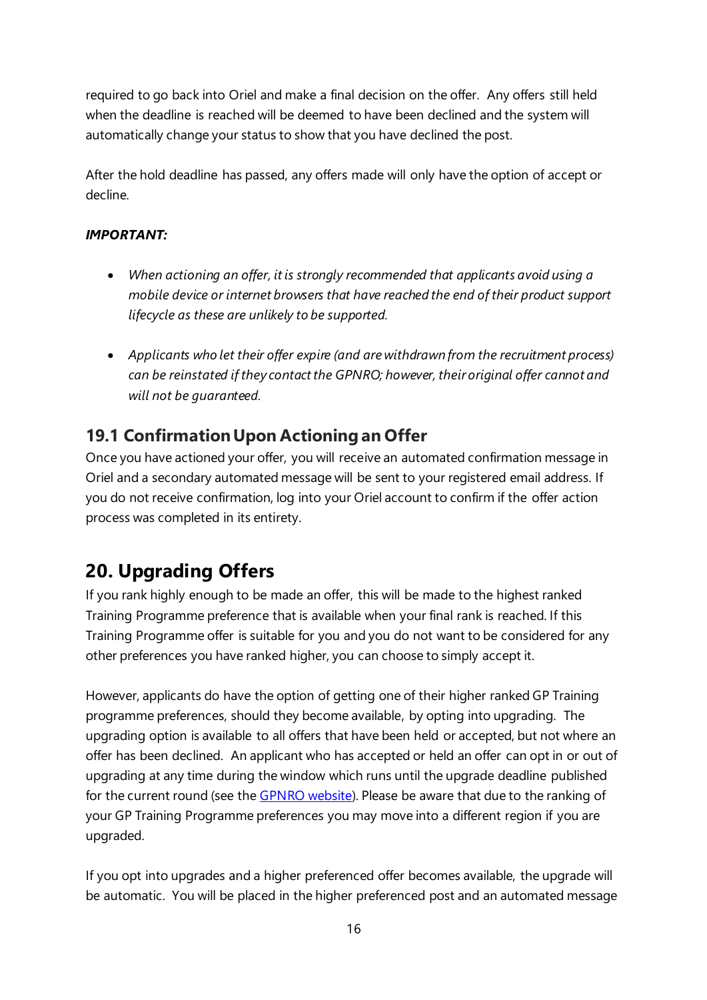required to go back into Oriel and make a final decision on the offer. Any offers still held when the deadline is reached will be deemed to have been declined and the system will automatically change your status to show that you have declined the post.

After the hold deadline has passed, any offers made will only have the option of accept or decline.

#### *IMPORTANT:*

- *When actioning an offer, it is strongly recommended that applicants avoid using a mobile device or internet browsers that have reached the end of their product support lifecycle as these are unlikely to be supported.*
- *Applicants who let their offer expire (and are withdrawn from the recruitment process) can be reinstated if they contact the GPNRO; however, their original offer cannot and will not be guaranteed.*

#### <span id="page-16-0"></span>**19.1 Confirmation Upon Actioning an Offer**

Once you have actioned your offer, you will receive an automated confirmation message in Oriel and a secondary automated message will be sent to your registered email address. If you do not receive confirmation, log into your Oriel account to confirm if the offer action process was completed in its entirety.

## <span id="page-16-1"></span>**20. Upgrading Offers**

If you rank highly enough to be made an offer, this will be made to the highest ranked Training Programme preference that is available when your final rank is reached. If this Training Programme offer is suitable for you and you do not want to be considered for any other preferences you have ranked higher, you can choose to simply accept it.

However, applicants do have the option of getting one of their higher ranked GP Training programme preferences, should they become available, by opting into upgrading. The upgrading option is available to all offers that have been held or accepted, but not where an offer has been declined. An applicant who has accepted or held an offer can opt in or out of upgrading at any time during the window which runs until the upgrade deadline published for the current round (see the **GPNRO website**). Please be aware that due to the ranking of your GP Training Programme preferences you may move into a different region if you are upgraded.

If you opt into upgrades and a higher preferenced offer becomes available, the upgrade will be automatic. You will be placed in the higher preferenced post and an automated message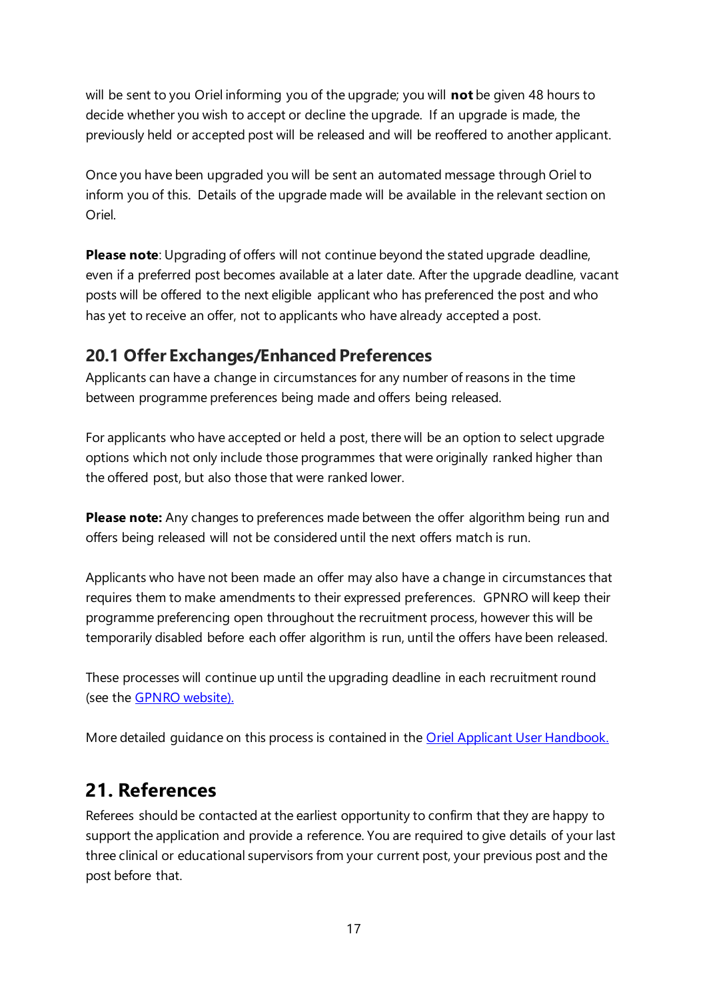will be sent to you Oriel informing you of the upgrade; you will **not** be given 48 hours to decide whether you wish to accept or decline the upgrade. If an upgrade is made, the previously held or accepted post will be released and will be reoffered to another applicant.

Once you have been upgraded you will be sent an automated message through Oriel to inform you of this. Details of the upgrade made will be available in the relevant section on Oriel.

**Please note**: Upgrading of offers will not continue beyond the stated upgrade deadline, even if a preferred post becomes available at a later date. After the upgrade deadline, vacant posts will be offered to the next eligible applicant who has preferenced the post and who has yet to receive an offer, not to applicants who have already accepted a post.

#### <span id="page-17-0"></span>**20.1 Offer Exchanges/Enhanced Preferences**

Applicants can have a change in circumstances for any number of reasons in the time between programme preferences being made and offers being released.

For applicants who have accepted or held a post, there will be an option to select upgrade options which not only include those programmes that were originally ranked higher than the offered post, but also those that were ranked lower.

**Please note:** Any changes to preferences made between the offer algorithm being run and offers being released will not be considered until the next offers match is run.

Applicants who have not been made an offer may also have a change in circumstances that requires them to make amendments to their expressed preferences. GPNRO will keep their programme preferencing open throughout the recruitment process, however this will be temporarily disabled before each offer algorithm is run, until the offers have been released.

These processes will continue up until the upgrading deadline in each recruitment round (see the [GPNRO website\)](https://gprecruitment.hee.nhs.uk/Recruitment).

<span id="page-17-1"></span>More detailed guidance on this process is contained in the [Oriel Applicant User Handbook.](https://new.oriel.nhs.uk/Web/PermaLink/ResourceBank/B0FE40DC)

#### **21. References**

Referees should be contacted at the earliest opportunity to confirm that they are happy to support the application and provide a reference. You are required to give details of your last three clinical or educational supervisors from your current post, your previous post and the post before that.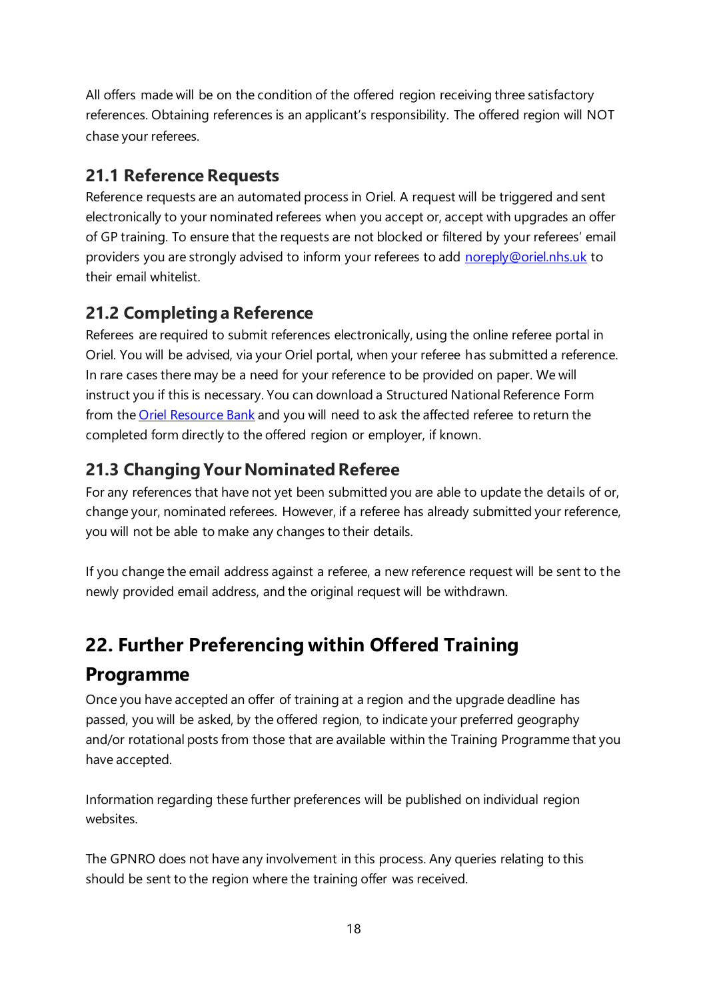All offers made will be on the condition of the offered region receiving three satisfactory references. Obtaining references is an applicant's responsibility. The offered region will NOT chase your referees.

#### <span id="page-18-0"></span>**21.1 Reference Requests**

Reference requests are an automated process in Oriel. A request will be triggered and sent electronically to your nominated referees when you accept or, accept with upgrades an offer of GP training. To ensure that the requests are not blocked or filtered by your referees' email providers you are strongly advised to inform your referees to add [noreply@oriel.nhs.uk](mailto:noreply@oriel.nhs.uk) to their email whitelist.

#### <span id="page-18-1"></span>**21.2 Completing a Reference**

Referees are required to submit references electronically, using the online referee portal in Oriel. You will be advised, via your Oriel portal, when your referee has submitted a reference. In rare cases there may be a need for your reference to be provided on paper. We will instruct you if this is necessary. You can download a Structured National Reference Form from the [Oriel Resource](https://new.oriel.nhs.uk/Web/ResourceBank) Bank and you will need to ask the affected referee to return the completed form directly to the offered region or employer, if known.

#### <span id="page-18-2"></span>**21.3 Changing Your Nominated Referee**

For any references that have not yet been submitted you are able to update the details of or, change your, nominated referees. However, if a referee has already submitted your reference, you will not be able to make any changes to their details.

If you change the email address against a referee, a new reference request will be sent to the newly provided email address, and the original request will be withdrawn.

## <span id="page-18-3"></span>**22. Further Preferencing within Offered Training**

#### **Programme**

Once you have accepted an offer of training at a region and the upgrade deadline has passed, you will be asked, by the offered region, to indicate your preferred geography and/or rotational posts from those that are available within the Training Programme that you have accepted.

Information regarding these further preferences will be published on individual region websites.

The GPNRO does not have any involvement in this process. Any queries relating to this should be sent to the region where the training offer was received.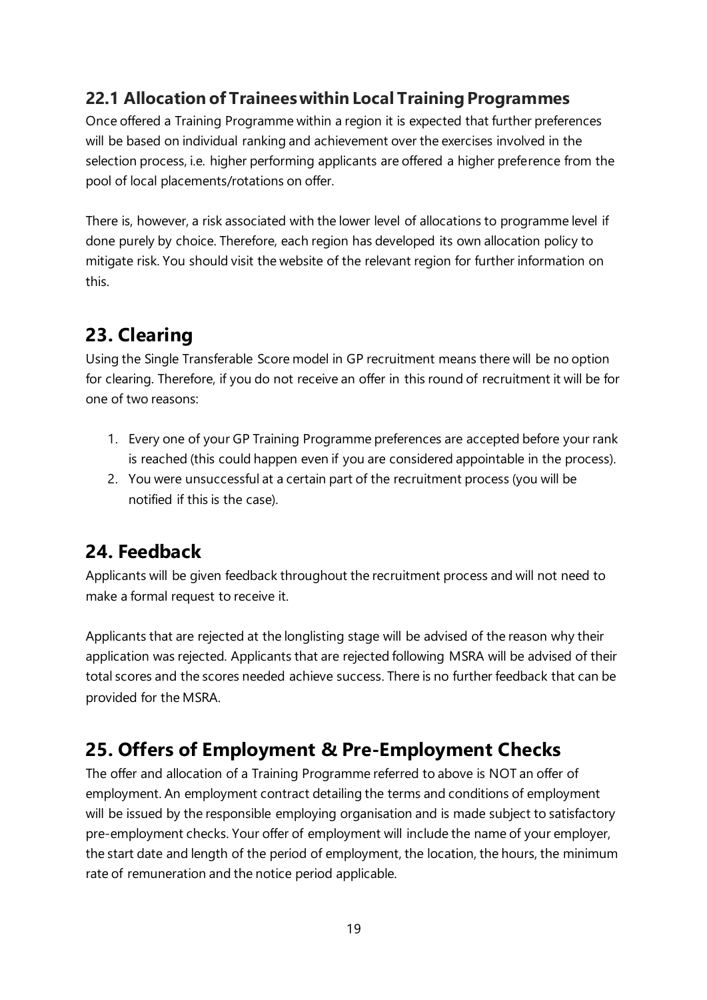#### <span id="page-19-0"></span>**22.1 Allocation of Trainees within Local Training Programmes**

Once offered a Training Programme within a region it is expected that further preferences will be based on individual ranking and achievement over the exercises involved in the selection process, i.e. higher performing applicants are offered a higher preference from the pool of local placements/rotations on offer.

There is, however, a risk associated with the lower level of allocations to programme level if done purely by choice. Therefore, each region has developed its own allocation policy to mitigate risk. You should visit the website of the relevant region for further information on this.

## <span id="page-19-1"></span>**23. Clearing**

Using the Single Transferable Score model in GP recruitment means there will be no option for clearing. Therefore, if you do not receive an offer in this round of recruitment it will be for one of two reasons:

- 1. Every one of your GP Training Programme preferences are accepted before your rank is reached (this could happen even if you are considered appointable in the process).
- 2. You were unsuccessful at a certain part of the recruitment process (you will be notified if this is the case).

#### <span id="page-19-2"></span>**24. Feedback**

Applicants will be given feedback throughout the recruitment process and will not need to make a formal request to receive it.

Applicants that are rejected at the longlisting stage will be advised of the reason why their application was rejected. Applicants that are rejected following MSRA will be advised of their total scores and the scores needed achieve success. There is no further feedback that can be provided for the MSRA.

## <span id="page-19-3"></span>**25. Offers of Employment & Pre-Employment Checks**

The offer and allocation of a Training Programme referred to above is NOT an offer of employment. An employment contract detailing the terms and conditions of employment will be issued by the responsible employing organisation and is made subject to satisfactory pre-employment checks. Your offer of employment will include the name of your employer, the start date and length of the period of employment, the location, the hours, the minimum rate of remuneration and the notice period applicable.